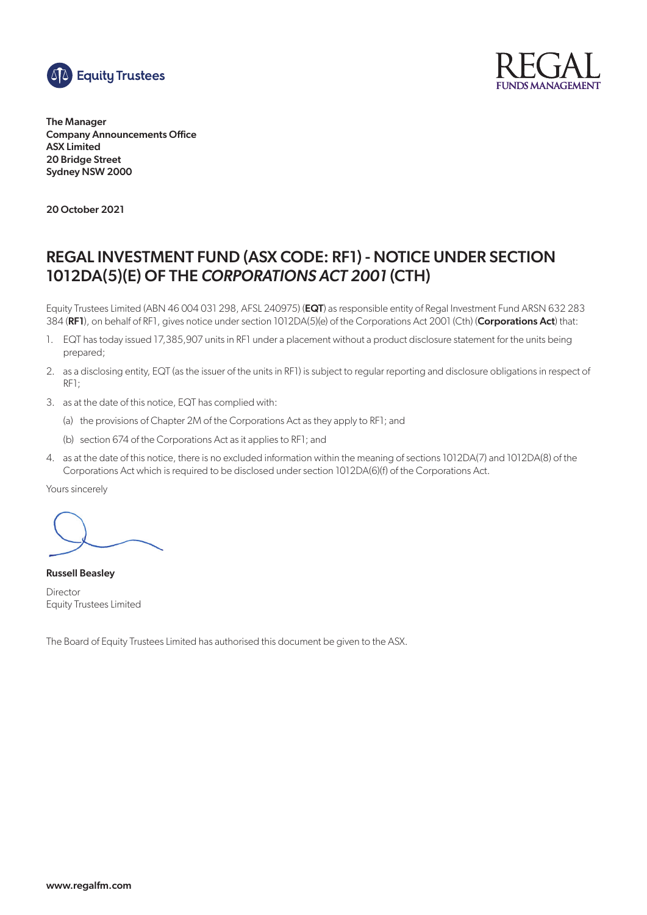



The Manager Company Announcements Office ASX Limited 20 Bridge Street Sydney NSW 2000

20 October 2021

# REGAL INVESTMENT FUND (ASX CODE: RF1) - NOTICE UNDER SECTION 1012DA(5)(E) OF THE *CORPORATIONS ACT 2001* (CTH)

Equity Trustees Limited (ABN 46 004 031 298, AFSL 240975) (EQT) as responsible entity of Regal Investment Fund ARSN 632 283 384 (RF1), on behalf of RF1, gives notice under section 1012DA(5)(e) of the Corporations Act 2001 (Cth) (Corporations Act) that:

- 1. EQT has today issued 17,385,907 units in RF1 under a placement without a product disclosure statement for the units being prepared;
- 2. as a disclosing entity, EQT (as the issuer of the units in RF1) is subject to regular reporting and disclosure obligations in respect of RF1;
- 3. as at the date of this notice, EQT has complied with:
	- (a) the provisions of Chapter 2M of the Corporations Act as they apply to RF1; and
	- (b) section 674 of the Corporations Act as it applies to RF1; and
- 4. as at the date of this notice, there is no excluded information within the meaning of sections 1012DA(7) and 1012DA(8) of the Corporations Act which is required to be disclosed under section 1012DA(6)(f) of the Corporations Act.

Yours sincerely

Russell Beasley Director Equity Trustees Limited

The Board of Equity Trustees Limited has authorised this document be given to the ASX.